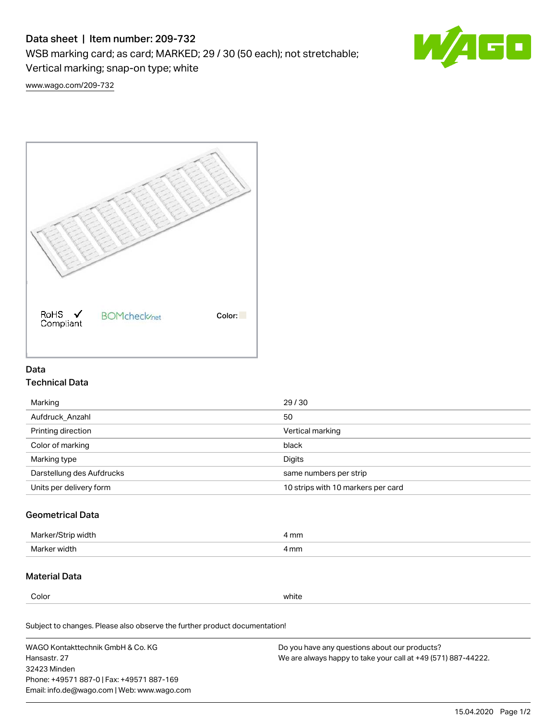# Data sheet | Item number: 209-732

WSB marking card; as card; MARKED; 29 / 30 (50 each); not stretchable;

Vertical marking; snap-on type; white

GO

[www.wago.com/209-732](http://www.wago.com/209-732)



## Data Technical Data

| Marking                   | 29/30                              |
|---------------------------|------------------------------------|
| Aufdruck Anzahl           | 50                                 |
| Printing direction        | Vertical marking                   |
| Color of marking          | black                              |
| Marking type              | Digits                             |
| Darstellung des Aufdrucks | same numbers per strip             |
| Units per delivery form   | 10 strips with 10 markers per card |

## Geometrical Data

| Ma<br>width    | 4 mm |
|----------------|------|
| Marke<br>widtł | 4 mm |

### Material Data

Color white

Subject to changes. Please also observe the further product documentation!

WAGO Kontakttechnik GmbH & Co. KG Hansastr. 27 32423 Minden Phone: +49571 887-0 | Fax: +49571 887-169 Email: info.de@wago.com | Web: www.wago.com Do you have any questions about our products? We are always happy to take your call at +49 (571) 887-44222.